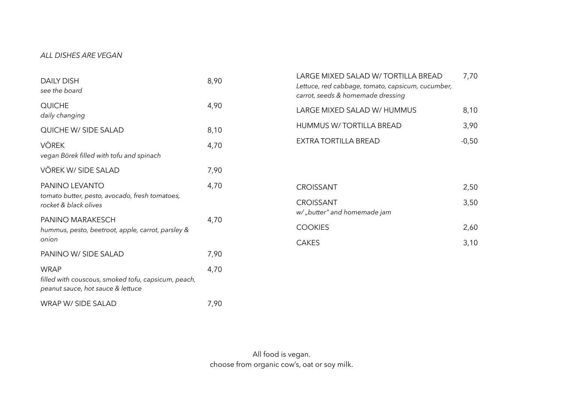## *ALL DISHES ARE VEGAN*

| <b>DAILY DISH</b><br>see the board                                                                      | 8,90 |
|---------------------------------------------------------------------------------------------------------|------|
| QUICHE<br>daily changing                                                                                | 4,90 |
| QUICHE W/ SIDE SALAD                                                                                    | 8,10 |
| VÖREK<br>vegan Börek filled with tofu and spinach                                                       | 4,70 |
| VÖREK W/ SIDE SALAD                                                                                     | 7,90 |
| PANINO LEVANTO<br>tomato butter, pesto, avocado, fresh tomatoes,<br>rocket & black olives               | 4,70 |
| PANINO MARAKESCH<br>hummus, pesto, beetroot, apple, carrot, parsley &<br>onion                          | 4,70 |
| PANINO W/ SIDE SALAD                                                                                    | 7,90 |
| <b>WRAP</b><br>filled with couscous, smoked tofu, capsicum, peach,<br>peanut sauce, hot sauce & lettuce | 4,70 |
| WRAP W/ SIDE SALAD                                                                                      | 7,90 |

| LARGE MIXED SALAD W/TORTILLA BREAD                | 7,70    |
|---------------------------------------------------|---------|
| Lettuce, red cabbage, tomato, capsicum, cucumber, |         |
| carrot, seeds & homemade dressing                 |         |
| LARGE MIXED SALAD W/ HUMMUS                       | 8,10    |
| HUMMUS W/TORTILLA BREAD                           | 3,90    |
| <b>EXTRA TORTILLA BREAD</b>                       | $-0.50$ |
|                                                   |         |

| <b>CROISSANT</b>                                 | 2,50 |
|--------------------------------------------------|------|
| <b>CROISSANT</b><br>w/ "butter" and homemade jam | 3,50 |
| <b>COOKIES</b>                                   | 2,60 |
| <b>CAKES</b>                                     | 3,10 |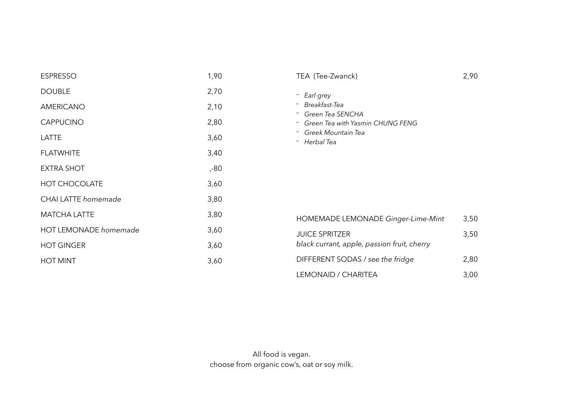| <b>ESPRESSO</b>              | 1,90 |
|------------------------------|------|
| <b>DOUBLE</b>                | 2,70 |
| <b>AMERICANO</b>             | 2,10 |
| <b>CAPPUCINO</b>             | 2,80 |
| LATTE                        | 3,60 |
| <b>FLATWHITE</b>             | 3,40 |
| <b>EXTRA SHOT</b>            | ,-80 |
| <b>HOT CHOCOLATE</b>         | 3,60 |
| CHAI LATTE homemade          | 3,80 |
| <b>MATCHA LATTE</b>          | 3,80 |
| <b>HOT LEMONADE homemade</b> | 3,60 |
| <b>HOT GINGER</b>            | 3,60 |
| <b>HOT MINT</b>              | 3,60 |
|                              |      |

| TEA (Tee-Zwanck)                                                                                                                   | 2,90 |
|------------------------------------------------------------------------------------------------------------------------------------|------|
| - Earl grey<br>- Breakfast-Tea<br>- Green Tea SENCHA<br>- Green Tea with Yasmin CHUNG FENG<br>- Greek Mountain Tea<br>- Herbal Tea |      |
| HOMEMADE LEMONADE Ginger-Lime-Mint                                                                                                 | 3,50 |
| <b>JUICE SPRITZER</b><br>black currant, apple, passion fruit, cherry                                                               | 3,50 |
| DIFFERENT SODAS / see the fridge                                                                                                   | 2,80 |
| <b>LEMONAID / CHARITEA</b>                                                                                                         | 3,00 |